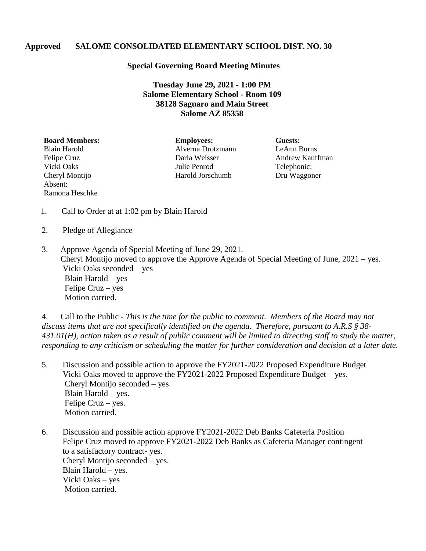## **Approved SALOME CONSOLIDATED ELEMENTARY SCHOOL DIST. NO. 30**

## **Special Governing Board Meeting Minutes**

**Tuesday June 29, 2021 - 1:00 PM Salome Elementary School - Room 109 38128 Saguaro and Main Street Salome AZ 85358**

Absent: Ramona Heschke

**Board Members: Employees: Guests:** Blain Harold Alverna Drotzmann LeAnn Burns Felipe Cruz **Darla Weisser** Andrew Kauffman Vicki Oaks Julie Penrod Telephonic: Cheryl Montijo Harold Jorschumb Dru Waggoner

- 1. Call to Order at at 1:02 pm by Blain Harold
- 2. Pledge of Allegiance
- 3. Approve Agenda of Special Meeting of June 29, 2021. Cheryl Montijo moved to approve the Approve Agenda of Special Meeting of June, 2021 – yes. Vicki Oaks seconded – yes Blain Harold – yes Felipe Cruz – yes Motion carried.

4. Call to the Public - *This is the time for the public to comment. Members of the Board may not discuss items that are not specifically identified on the agenda. Therefore, pursuant to A.R.S § 38- 431.01(H), action taken as a result of public comment will be limited to directing staff to study the matter, responding to any criticism or scheduling the matter for further consideration and decision at a later date.*

- 5. Discussion and possible action to approve the FY2021-2022 Proposed Expenditure Budget Vicki Oaks moved to approve the FY2021-2022 Proposed Expenditure Budget – yes. Cheryl Montijo seconded – yes. Blain Harold – yes. Felipe Cruz – yes. Motion carried.
- 6. Discussion and possible action approve FY2021-2022 Deb Banks Cafeteria Position Felipe Cruz moved to approve FY2021-2022 Deb Banks as Cafeteria Manager contingent to a satisfactory contract- yes. Cheryl Montijo seconded – yes. Blain Harold – yes. Vicki Oaks – yes Motion carried.